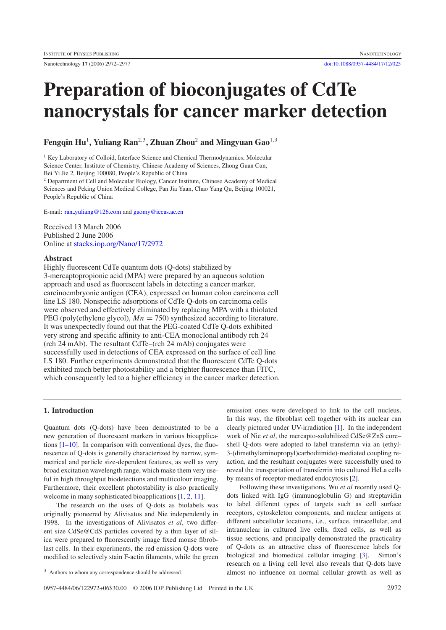Nanotechnology **17** (2006) 2972–2977 [doi:10.1088/0957-4484/17/12/025](http://dx.doi.org/10.1088/0957-4484/17/12/025)

# **Preparation of bioconjugates of CdTe nanocrystals for cancer marker detection**

**Fengqin Hu**<sup>1</sup>**, Yuliang Ran**<sup>2</sup>*,*<sup>3</sup>**, Zhuan Zhou**<sup>2</sup> **and Mingyuan Gao**<sup>1</sup>*,*<sup>3</sup>

<sup>1</sup> Key Laboratory of Colloid, Interface Science and Chemical Thermodynamics, Molecular Science Center, Institute of Chemistry, Chinese Academy of Sciences, Zhong Guan Cun, Bei Yi Jie 2, Beijing 100080, People's Republic of China

<sup>2</sup> Department of Cell and Molecular Biology, Cancer Institute, Chinese Academy of Medical Sciences and Peking Union Medical College, Pan Jia Yuan, Chao Yang Qu, Beijing 100021, People's Republic of China

E-mail: ran [yuliang@126.com](mailto:ran_yuliang@126.com) and [gaomy@iccas.ac.cn](mailto:gaomy@iccas.ac.cn)

Received 13 March 2006 Published 2 June 2006 Online at [stacks.iop.org/Nano/17/2972](http://stacks.iop.org/Nano/17/2972)

# **Abstract**

Highly fluorescent CdTe quantum dots (Q-dots) stabilized by 3-mercaptopropionic acid (MPA) were prepared by an aqueous solution approach and used as fluorescent labels in detecting a cancer marker, carcinoembryonic antigen (CEA), expressed on human colon carcinoma cell line LS 180. Nonspecific adsorptions of CdTe Q-dots on carcinoma cells were observed and effectively eliminated by replacing MPA with a thiolated PEG (poly(ethylene glycol),  $Mn = 750$ ) synthesized according to literature. It was unexpectedly found out that the PEG-coated CdTe Q-dots exhibited very strong and specific affinity to anti-CEA monoclonal antibody rch 24 (rch 24 mAb). The resultant CdTe–(rch 24 mAb) conjugates were successfully used in detections of CEA expressed on the surface of cell line LS 180. Further experiments demonstrated that the fluorescent CdTe Q-dots exhibited much better photostability and a brighter fluorescence than FITC, which consequently led to a higher efficiency in the cancer marker detection.

## **1. Introduction**

Quantum dots (Q-dots) have been demonstrated to be a new generation of fluorescent markers in various bioapplications  $[1–10]$ . In comparison with conventional dyes, the fluorescence of Q-dots is generally characterized by narrow, symmetrical and particle size-dependent features, as well as very broad excitation wavelength range, which make them very useful in high throughput biodetections and multicolour imaging. Furthermore, their excellent photostability is also practically welcome in many sophisticated bioapplications [\[1,](#page-4-0) [2,](#page-4-1) [11\]](#page-4-2).

The research on the uses of Q-dots as biolabels was originally pioneered by Alivisatos and Nie independently in 1998. In the investigations of Alivisatos *et al*, two different size CdSe@CdS particles covered by a thin layer of silica were prepared to fluorescently image fixed mouse fibroblast cells. In their experiments, the red emission Q-dots were modified to selectively stain F-actin filaments, while the green

<sup>3</sup> Authors to whom any correspondence should be addressed.

emission ones were developed to link to the cell nucleus. In this way, the fibroblast cell together with its nuclear can clearly pictured under UV-irradiation [\[1\]](#page-4-0). In the independent work of Nie *et al*, the mercapto-solubilized CdSe@ZnS core– shell Q-dots were adopted to label transferrin via an (ethyl-3-(dimethylaminopropyl)carbodiimide)-mediated coupling reaction, and the resultant conjugates were successfully used to reveal the transportation of transferrin into cultured HeLa cells by means of receptor-mediated endocytosis [\[2\]](#page-4-1).

Following these investigations, Wu *et al* recently used Qdots linked with IgG (immunoglobulin G) and streptavidin to label different types of targets such as cell surface receptors, cytoskeleton components, and nuclear antigens at different subcellular locations, i.e., surface, intracellular, and intranuclear in cultured live cells, fixed cells, as well as tissue sections, and principally demonstrated the practicality of Q-dots as an attractive class of fluorescence labels for biological and biomedical cellular imaging [\[3\]](#page-4-3). Simon's research on a living cell level also reveals that Q-dots have almost no influence on normal cellular growth as well as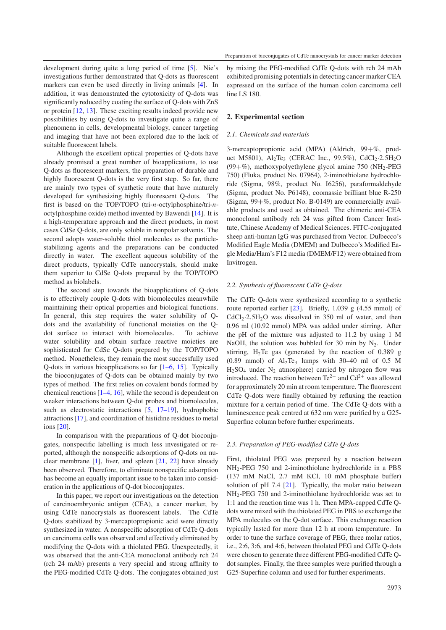Preparation of bioconjugates of CdTe nanocrystals for cancer marker detection

development during quite a long period of time [\[5\]](#page-4-4). Nie's investigations further demonstrated that Q-dots as fluorescent markers can even be used directly in living animals [\[4\]](#page-4-5). In addition, it was demonstrated the cytotoxicity of Q-dots was significantly reduced by coating the surface of Q-dots with ZnS or protein [\[12,](#page-4-6) [13\]](#page-4-7). These exciting results indeed provide new possibilities by using Q-dots to investigate quite a range of phenomena in cells, developmental biology, cancer targeting and imaging that have not been explored due to the lack of suitable fluorescent labels.

Although the excellent optical properties of Q-dots have already promised a great number of bioapplications, to use Q-dots as fluorescent markers, the preparation of durable and highly fluorescent Q-dots is the very first step. So far, there are mainly two types of synthetic route that have maturely developed for synthesizing highly fluorescent Q-dots. The first is based on the TOP/TOPO (tri-*n*-octylphosphine/tri-*n*octylphosphine oxide) method invented by Bawendi [\[14\]](#page-4-8). It is a high-temperature approach and the direct products, in most cases CdSe Q-dots, are only soluble in nonpolar solvents. The second adopts water-soluble thiol molecules as the particlestabilizing agents and the preparations can be conducted directly in water. The excellent aqueous solubility of the direct products, typically CdTe nanocrystals, should make them superior to CdSe Q-dots prepared by the TOP/TOPO method as biolabels.

The second step towards the bioapplications of Q-dots is to effectively couple Q-dots with biomolecules meanwhile maintaining their optical properties and biological functions. In general, this step requires the water solubility of Qdots and the availability of functional moieties on the Qdot surface to interact with biomolecules. To achieve water solubility and obtain surface reactive moieties are sophisticated for CdSe Q-dots prepared by the TOP/TOPO method. Nonetheless, they remain the most successfully used Q-dots in various bioapplications so far [\[1–6,](#page-4-0) [15\]](#page-4-9). Typically the bioconjugates of Q-dots can be obtained mainly by two types of method. The first relies on covalent bonds formed by chemical reactions [\[1–4,](#page-4-0) [16\]](#page-4-10), while the second is dependent on weaker interactions between Q-dot probes and biomolecules, such as electrostatic interactions [\[5,](#page-4-4) [17–19\]](#page-4-11), hydrophobic attractions [\[17\]](#page-4-11), and coordination of histidine residues to metal ions [\[20\]](#page-5-0).

In comparison with the preparations of Q-dot bioconjugates, nonspecific labelling is much less investigated or reported, although the nonspecific adsorptions of Q-dots on nuclear membrane [\[1\]](#page-4-0), liver, and spleen [\[21,](#page-5-1) [22\]](#page-5-2) have already been observed. Therefore, to eliminate nonspecific adsorption has become an equally important issue to be taken into consideration in the applications of Q-dot bioconjugates.

In this paper, we report our investigations on the detection of carcinoembryonic antigen (CEA), a cancer marker, by using CdTe nanocrystals as fluorescent labels. The CdTe Q-dots stabilized by 3-mercaptopropionic acid were directly synthesized in water. A nonspecific adsorption of CdTe Q-dots on carcinoma cells was observed and effectively eliminated by modifying the Q-dots with a thiolated PEG. Unexpectedly, it was observed that the anti-CEA monoclonal antibody rch 24 (rch 24 mAb) presents a very special and strong affinity to the PEG-modified CdTe Q-dots. The conjugates obtained just

by mixing the PEG-modified CdTe Q-dots with rch 24 mAb exhibited promising potentials in detecting cancer marker CEA expressed on the surface of the human colon carcinoma cell line LS 180.

## **2. Experimental section**

## *2.1. Chemicals and materials*

3-mercaptopropionic acid (MPA) (Aldrich, 99+%, product M5801), Al<sub>2</sub>Te<sub>3</sub> (CERAC Inc., 99.5%), CdCl<sub>2</sub>.2.5H<sub>2</sub>O (99+%), methoxypolyethylene glycol amine 750 (NH<sub>2</sub>-PEG 750) (Fluka, product No. 07964), 2-iminothiolane hydrochloride (Sigma, 98%, product No. I6256), paraformaldehyde (Sigma, product No. P6148), coomassie brilliant blue R-250 (Sigma, 99+%, product No. B-0149) are commercially available products and used as obtained. The chimeric anti-CEA monoclonal antibody rch 24 was gifted from Cancer Institute, Chinese Academy of Medical Sciences. FITC-conjugated sheep anti-human IgG was purchased from Vector. Dulbecco's Modified Eagle Media (DMEM) and Dulbecco's Modified Eagle Media/Ham's F12 media (DMEM/F12) were obtained from Invitrogen.

#### *2.2. Synthesis of fluorescent CdTe Q-dots*

The CdTe Q-dots were synthesized according to a synthetic route reported earlier  $[23]$ . Briefly, 1.039 g (4.55 mmol) of  $CdCl<sub>2</sub>·2.5H<sub>2</sub>O$  was dissolved in 350 ml of water, and then 0.96 ml (10.92 mmol) MPA was added under stirring. After the pH of the mixture was adjusted to 11.2 by using 1 M NaOH, the solution was bubbled for 30 min by  $N_2$ . Under stirring, H<sub>2</sub>Te gas (generated by the reaction of 0.389 g  $(0.89 \text{ mmol})$  of Al<sub>2</sub>Te<sub>3</sub> lumps with 30–40 ml of 0.5 M  $H_2SO_4$  under N<sub>2</sub> atmosphere) carried by nitrogen flow was introduced. The reaction between  $Te^{2-}$  and  $Cd^{2+}$  was allowed for approximately 20 min at room temperature. The fluorescent CdTe Q-dots were finally obtained by refluxing the reaction mixture for a certain period of time. The CdTe Q-dots with a luminescence peak centred at 632 nm were purified by a G25- Superfine column before further experiments.

#### *2.3. Preparation of PEG-modified CdTe Q-dots*

First, thiolated PEG was prepared by a reaction between NH2-PEG 750 and 2-iminothiolane hydrochloride in a PBS (137 mM NaCl, 2.7 mM KCl, 10 mM phosphate buffer) solution of pH 7.4 [\[21\]](#page-5-1). Typically, the molar ratio between NH2-PEG 750 and 2-iminothiolane hydrochloride was set to 1:1 and the reaction time was 1 h. Then MPA-capped CdTe Qdots were mixed with the thiolated PEG in PBS to exchange the MPA molecules on the Q-dot surface. This exchange reaction typically lasted for more than 12 h at room temperature. In order to tune the surface coverage of PEG, three molar ratios, i.e., 2:6, 3:6, and 4:6, between thiolated PEG and CdTe Q-dots were chosen to generate three different PEG-modified CdTe Qdot samples. Finally, the three samples were purified through a G25-Superfine column and used for further experiments.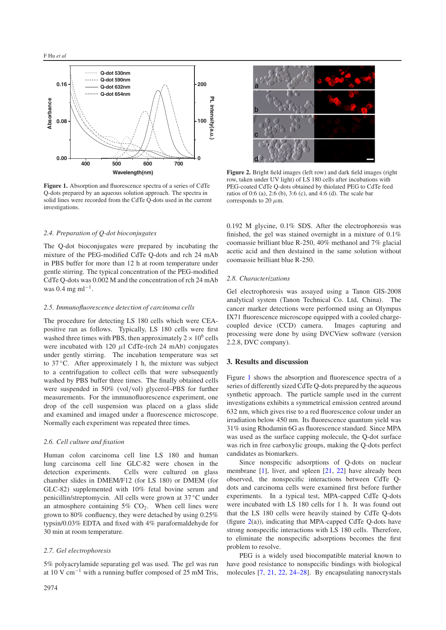<span id="page-2-0"></span>

**Figure 1.** Absorption and fluorescence spectra of a series of CdTe Q-dots prepared by an aqueous solution approach. The spectra in solid lines were recorded from the CdTe Q-dots used in the current investigations.

## *2.4. Preparation of Q-dot bioconjugates*

The Q-dot bioconjugates were prepared by incubating the mixture of the PEG-modified CdTe Q-dots and rch 24 mAb in PBS buffer for more than 12 h at room temperature under gentle stirring. The typical concentration of the PEG-modified CdTe Q-dots was 0.002 M and the concentration of rch 24 mAb was  $0.4 \text{ mg} \text{ ml}^{-1}$ .

#### *2.5. Immunofluorescence detection of carcinoma cells*

The procedure for detecting LS 180 cells which were CEApositive ran as follows. Typically, LS 180 cells were first washed three times with PBS, then approximately  $2 \times 10^6$  cells were incubated with  $120 \mu$ l CdTe-(rch 24 mAb) conjugates under gently stirring. The incubation temperature was set to 37 °C. After approximately 1 h, the mixture was subject to a centrifugation to collect cells that were subsequently washed by PBS buffer three times. The finally obtained cells were suspended in 50% (vol*/*vol) glycerol–PBS for further measurements. For the immunofluorescence experiment, one drop of the cell suspension was placed on a glass slide and examined and imaged under a fluorescence microscope. Normally each experiment was repeated three times.

## *2.6. Cell culture and fixation*

Human colon carcinoma cell line LS 180 and human lung carcinoma cell line GLC-82 were chosen in the detection experiments. Cells were cultured on glass chamber slides in DMEM/F12 (for LS 180) or DMEM (for GLC-82) supplemented with 10% fetal bovine serum and penicillin/streptomycin. All cells were grown at 37 ◦C under an atmosphere containing  $5\%$  CO<sub>2</sub>. When cell lines were grown to 80% confluency, they were detached by using 0.25% typsin/0.03% EDTA and fixed with 4% paraformaldehyde for 30 min at room temperature.

#### *2.7. Gel electrophoresis*

5% polyacrylamide separating gel was used. The gel was run at 10 V cm<sup>-1</sup> with a running buffer composed of 25 mM Tris,

<span id="page-2-1"></span>

**Figure 2.** Bright field images (left row) and dark field images (right row, taken under UV light) of LS 180 cells after incubations with PEG-coated CdTe Q-dots obtained by thiolated PEG to CdTe feed ratios of 0:6 (a), 2:6 (b), 3:6 (c), and 4:6 (d). The scale bar corresponds to 20  $\mu$ m.

0.192 M glycine, 0.1% SDS. After the electrophoresis was finished, the gel was stained overnight in a mixture of 0.1% coomassie brilliant blue R-250, 40% methanol and 7% glacial acetic acid and then destained in the same solution without coomassie brilliant blue R-250.

#### *2.8. Characterizations*

Gel electrophoresis was assayed using a Tanon GIS-2008 analytical system (Tanon Technical Co. Ltd, China). The cancer marker detections were performed using an Olympus IX71 fluorescence microscope equipped with a cooled chargecoupled device (CCD) camera. Images capturing and processing were done by using DVCView software (version 2.2.8, DVC company).

# **3. Results and discussion**

Figure [1](#page-2-0) shows the absorption and fluorescence spectra of a series of differently sized CdTe Q-dots prepared by the aqueous synthetic approach. The particle sample used in the current investigations exhibits a symmetrical emission centred around 632 nm, which gives rise to a red fluorescence colour under an irradiation below 450 nm. Its fluorescence quantum yield was 31% using Rhodamin 6G as fluorescence standard. Since MPA was used as the surface capping molecule, the Q-dot surface was rich in free carboxylic groups, making the Q-dots perfect candidates as biomarkers.

Since nonspecific adsorptions of Q-dots on nuclear membrane [\[1\]](#page-4-0), liver, and spleen [\[21,](#page-5-1) [22\]](#page-5-2) have already been observed, the nonspecific interactions between CdTe Qdots and carcinoma cells were examined first before further experiments. In a typical test, MPA-capped CdTe Q-dots were incubated with LS 180 cells for 1 h. It was found out that the LS 180 cells were heavily stained by CdTe Q-dots (figure  $2(a)$  $2(a)$ ), indicating that MPA-capped CdTe Q-dots have strong nonspecific interactions with LS 180 cells. Therefore, to eliminate the nonspecific adsorptions becomes the first problem to resolve.

PEG is a widely used biocompatible material known to have good resistance to nonspecific bindings with biological molecules [\[7,](#page-4-12) [21,](#page-5-1) [22,](#page-5-2) [24–28\]](#page-5-4). By encapsulating nanocrystals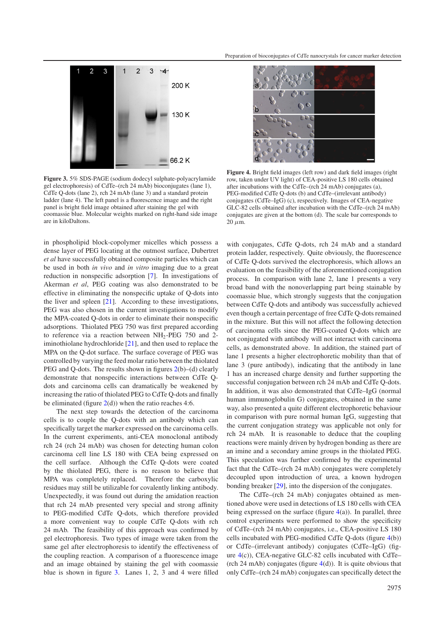<span id="page-3-0"></span>

**Figure 3.** 5% SDS-PAGE (sodium dodecyl sulphate-polyacrylamide gel electrophoresis) of CdTe–(rch 24 mAb) bioconjugates (lane 1), CdTe Q-dots (lane 2), rch 24 mAb (lane 3) and a standard protein ladder (lane 4). The left panel is a fluorescence image and the right panel is bright field image obtained after staining the gel with coomassie blue. Molecular weights marked on right-hand side image are in kiloDaltons.

in phospholipid block-copolymer micelles which possess a dense layer of PEG locating at the outmost surface, Dubertret *et al* have successfully obtained composite particles which can be used in both *in vivo* and *in vitro* imaging due to a great reduction in nonspecific adsorption [\[7\]](#page-4-12). In investigations of Akerman *et al*, PEG coating was also demonstrated to be effective in eliminating the nonspecific uptake of Q-dots into the liver and spleen [\[21\]](#page-5-1). According to these investigations, PEG was also chosen in the current investigations to modify the MPA-coated Q-dots in order to eliminate their nonspecific adsorptions. Thiolated PEG 750 was first prepared according to reference via a reaction between  $NH<sub>2</sub>$ -PEG 750 and 2iminothiolane hydrochloride [\[21\]](#page-5-1), and then used to replace the MPA on the Q-dot surface. The surface coverage of PEG was controlled by varying the feed molar ratio between the thiolated PEG and Q-dots. The results shown in figures [2\(](#page-2-1)b)–(d) clearly demonstrate that nonspecific interactions between CdTe Qdots and carcinoma cells can dramatically be weakened by increasing the ratio of thiolated PEG to CdTe Q-dots and finally be eliminated (figure  $2(d)$  $2(d)$ ) when the ratio reaches 4:6.

The next step towards the detection of the carcinoma cells is to couple the Q-dots with an antibody which can specifically target the marker expressed on the carcinoma cells. In the current experiments, anti-CEA monoclonal antibody rch 24 (rch 24 mAb) was chosen for detecting human colon carcinoma cell line LS 180 with CEA being expressed on the cell surface. Although the CdTe Q-dots were coated by the thiolated PEG, there is no reason to believe that MPA was completely replaced. Therefore the carboxylic residues may still be utilizable for covalently linking antibody. Unexpectedly, it was found out during the amidation reaction that rch 24 mAb presented very special and strong affinity to PEG-modified CdTe Q-dots, which therefore provided a more convenient way to couple CdTe Q-dots with rch 24 mAb. The feasibility of this approach was confirmed by gel electrophoresis. Two types of image were taken from the same gel after electrophoresis to identify the effectiveness of the coupling reaction. A comparison of a fluorescence image and an image obtained by staining the gel with coomassie blue is shown in figure [3.](#page-3-0) Lanes 1, 2, 3 and 4 were filled

<span id="page-3-1"></span>

**Figure 4.** Bright field images (left row) and dark field images (right row, taken under UV light) of CEA-positive LS 180 cells obtained after incubations with the CdTe–(rch 24 mAb) conjugates (a), PEG-modified CdTe Q-dots (b) and CdTe–(irrelevant antibody) conjugates (CdTe–IgG) (c), respectively. Images of CEA-negative GLC-82 cells obtained after incubation with the CdTe–(rch 24 mAb) conjugates are given at the bottom (d). The scale bar corresponds to  $20 \mu m$ .

with conjugates, CdTe Q-dots, rch 24 mAb and a standard protein ladder, respectively. Quite obviously, the fluorescence of CdTe Q-dots survived the electrophoresis, which allows an evaluation on the feasibility of the aforementioned conjugation process. In comparison with lane 2, lane 1 presents a very broad band with the nonoverlapping part being stainable by coomassie blue, which strongly suggests that the conjugation between CdTe Q-dots and antibody was successfully achieved even though a certain percentage of free CdTe Q-dots remained in the mixture. But this will not affect the following detection of carcinoma cells since the PEG-coated Q-dots which are not conjugated with antibody will not interact with carcinoma cells, as demonstrated above. In addition, the stained part of lane 1 presents a higher electrophoretic mobility than that of lane 3 (pure antibody), indicating that the antibody in lane 1 has an increased charge density and further supporting the successful conjugation between rch 24 mAb and CdTe Q-dots. In addition, it was also demonstrated that CdTe–IgG (normal human immunoglobulin G) conjugates, obtained in the same way, also presented a quite different electrophoretic behaviour in comparison with pure normal human IgG, suggesting that the current conjugation strategy was applicable not only for rch 24 mAb. It is reasonable to deduce that the coupling reactions were mainly driven by hydrogen bonding as there are an imine and a secondary amine groups in the thiolated PEG. This speculation was further confirmed by the experimental fact that the CdTe–(rch 24 mAb) conjugates were completely decoupled upon introduction of urea, a known hydrogen bonding breaker [\[29\]](#page-5-5), into the dispersion of the conjugates.

The CdTe–(rch 24 mAb) conjugates obtained as mentioned above were used in detections of LS 180 cells with CEA being expressed on the surface (figure  $4(a)$  $4(a)$ ). In parallel, three control experiments were performed to show the specificity of CdTe–(rch 24 mAb) conjugates, i.e., CEA-positive LS 180 cells incubated with PEG-modified CdTe Q-dots (figure [4\(](#page-3-1)b)) or CdTe–(irrelevant antibody) conjugates (CdTe–IgG) (figure [4\(](#page-3-1)c)), CEA-negative GLC-82 cells incubated with CdTe– (rch 24 mAb) conjugates (figure  $4(d)$  $4(d)$ ). It is quite obvious that only CdTe–(rch 24 mAb) conjugates can specifically detect the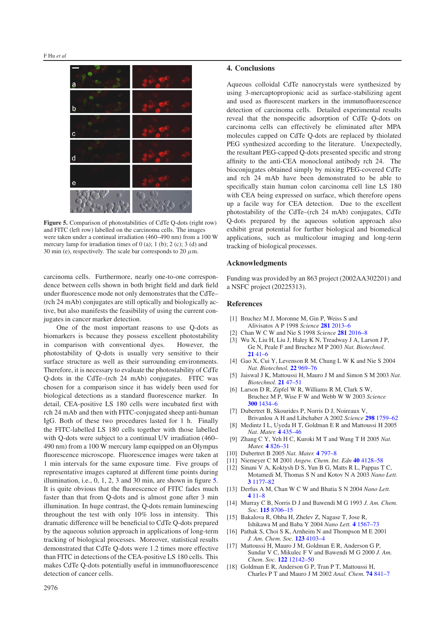<span id="page-4-13"></span>

Figure 5. Comparison of photostabilities of CdTe Q-dots (right row) and FITC (left row) labelled on the carcinoma cells. The images were taken under a continual irradiation (460–490 nm) from a 100 W mercury lamp for irradiation times of  $0$  (a); 1 (b); 2 (c); 3 (d) and 30 min (e), respectively. The scale bar corresponds to 20  $\mu$ m.

carcinoma cells. Furthermore, nearly one-to-one correspondence between cells shown in both bright field and dark field under fluorescence mode not only demonstrates that the CdTe– (rch 24 mAb) conjugates are still optically and biologically active, but also manifests the feasibility of using the current conjugates in cancer marker detection.

One of the most important reasons to use Q-dots as biomarkers is because they possess excellent photostability in comparison with conventional dyes. However, the photostability of Q-dots is usually very sensitive to their surface structure as well as their surrounding environments. Therefore, it is necessary to evaluate the photostability of CdTe Q-dots in the CdTe–(rch 24 mAb) conjugates. FITC was chosen for a comparison since it has widely been used for biological detections as a standard fluorescence marker. In detail, CEA-positive LS 180 cells were incubated first with rch 24 mAb and then with FITC-conjugated sheep anti-human IgG. Both of these two procedures lasted for 1 h. Finally the FITC-labelled LS 180 cells together with those labelled with Q-dots were subject to a continual UV irradiation (460– 490 nm) from a 100 W mercury lamp equipped on an Olympus fluorescence microscope. Fluorescence images were taken at 1 min intervals for the same exposure time. Five groups of representative images captured at different time points during illumination, i.e., 0, 1, 2, 3 and 30 min, are shown in figure [5.](#page-4-13) It is quite obvious that the fluorescence of FITC fades much faster than that from Q-dots and is almost gone after 3 min illumination. In huge contrast, the Q-dots remain luminescing throughout the test with only 10% loss in intensity. This dramatic difference will be beneficial to CdTe Q-dots prepared by the aqueous solution approach in applications of long-term tracking of biological processes. Moreover, statistical results demonstrated that CdTe Q-dots were 1.2 times more effective than FITC in detections of the CEA-positive LS 180 cells. This makes CdTe Q-dots potentially useful in immunofluorescence detection of cancer cells.

### **4. Conclusions**

Aqueous colloidal CdTe nanocrystals were synthesized by using 3-mercaptopropionic acid as surface-stabilizing agent and used as fluorescent markers in the immunofluorescence detection of carcinoma cells. Detailed experimental results reveal that the nonspecific adsorption of CdTe Q-dots on carcinoma cells can effectively be eliminated after MPA molecules capped on CdTe Q-dots are replaced by thiolated PEG synthesized according to the literature. Unexpectedly, the resultant PEG-capped Q-dots presented specific and strong affinity to the anti-CEA monoclonal antibody rch 24. The bioconjugates obtained simply by mixing PEG-covered CdTe and rch 24 mAb have been demonstrated to be able to specifically stain human colon carcinoma cell line LS 180 with CEA being expressed on surface, which therefore opens up a facile way for CEA detection. Due to the excellent photostability of the CdTe–(rch 24 mAb) conjugates, CdTe Q-dots prepared by the aqueous solution approach also exhibit great potential for further biological and biomedical applications, such as multicolour imaging and long-term tracking of biological processes.

# <span id="page-4-0"></span>**Acknowledgments**

<span id="page-4-3"></span><span id="page-4-1"></span>Funding was provided by an 863 project (2002AA302201) and a NSFC project (20225313).

### <span id="page-4-5"></span>**References**

- [1] Bruchez M J, Moronne M, Gin P, Weiss S and
- <span id="page-4-4"></span>Alivisatos A P 1998 *Science* **281** [2013–6](http://dx.doi.org/10.1126/science.281.5385.2013) [2] Chan W C W and Nie S 1998 *Science* **281** [2016–8](http://dx.doi.org/10.1126/science.281.5385.2016)
- [3] Wu X, Liu H, Liu J, Haley K N, Treadway J A, Larson J P,
- Ge N, Peale F and Bruchez M P 2003 *Nat. Biotechnol.* **21** [41–6](http://dx.doi.org/10.1038/nbt764)
- <span id="page-4-12"></span>[4] Gao X, Cui Y, Levenson R M, Chung L W K and Nie S 2004 *Nat. Biotechnol.* **22** [969–76](http://dx.doi.org/10.1038/nbt994)
- [5] Jaiswal J K, Mattoussi H, Mauro J M and Simon S M 2003 *Nat. Biotechnol.* **21** [47–51](http://dx.doi.org/10.1038/nbt767)
- [6] Larson D R, Zipfel W R, Williams R M, Clark S W, Bruchez M P, Wise F W and Webb W W 2003 *Science* **300** [1434–6](http://dx.doi.org/10.1126/science.1083780)
- <span id="page-4-6"></span><span id="page-4-2"></span>[7] Dubertret B, Skourides P, Norris D J, Noireaux V, Brivanlou A H and Libchaber A 2002 *Science* **298** [1759–62](http://dx.doi.org/10.1126/science.1077194) [8] Medintz I L, Uyeda H T, Goldman E R and Mattoussi H 2005
- *Nat. Mater.* **4** [435–46](http://dx.doi.org/10.1038/nmat1390) [9] Zhang C Y, Yeh H C, Kuroki M T and Wang T H 2005 *Nat.*
- <span id="page-4-7"></span>*Mater.* **4** [826–31](http://dx.doi.org/10.1038/nmat1508)
- <span id="page-4-8"></span>[10] Dubertret B 2005 *Nat. Mater.* **4** [797–8](http://dx.doi.org/10.1038/nmat1520)
- [11] Niemeyer C M 2001 *Angew. Chem. Int. Edn* **40** [4128–58](http://dx.doi.org/10.1002/1521-3773(20011119)40:22<4128::AID-ANIE4128>3.0.CO;2-S)
- <span id="page-4-9"></span>[12] Sinani V A, Koktysh D S, Yun B G, Matts R L, Pappas T C, Motamedi M, Thomas S N and Kotov N A 2003 *Nano Lett.* **3** [1177–82](http://dx.doi.org/10.1021/nl0255045)
- <span id="page-4-11"></span><span id="page-4-10"></span>[13] Derfus A M, Chan W C W and Bhatia S N 2004 *Nano Lett.* **4** [11–8](http://dx.doi.org/10.1021/nl0347334)
- [14] Murray C B, Norris D J and Bawendi M G 1993 *J. Am. Chem. Soc.* **115** [8706–15](http://dx.doi.org/10.1021/ja00072a025)
- [15] Bakalova R, Ohba H, Zhelev Z, Nagase T, Jose R, Ishikawa M and Baba Y 2004 *Nano Lett.* **4** [1567–73](http://dx.doi.org/10.1021/nl049627w)
- [16] Pathak S, Choi S K, Arnheim N and Thompson M E 2001 *J. Am. Chem. Soc.* **123** [4103–4](http://dx.doi.org/10.1021/ja0058334)
- [17] Mattoussi H, Mauro J M, Goldman E R, Anderson G P, Sundar V C, Mikulec F V and Bawendi M G 2000 *J. Am. Chem. Soc.* **122** [12142–50](http://dx.doi.org/10.1021/ja002535y)
- [18] Goldman E R, Anderson G P, Tran P T, Mattoussi H, Charles P T and Mauro J M 2002 *Anal. Chem.* **74** [841–7](http://dx.doi.org/10.1021/ac010662m)